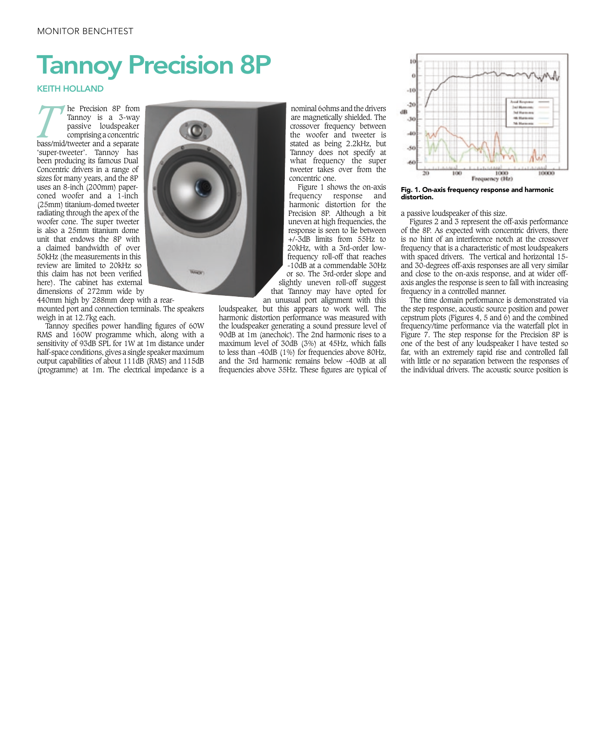## Tannoy Precision 8P

## KEITH HOLLAND

**The Precision 8P from Tannoy is a 3-way passive loudspeaker comprising a concentric bass/mid/tweeter and a separate** Tannoy is a 3-way passive loudspeaker comprising a concentric bass/mid/tweeter and a separate 'super-tweeter'. Tannoy has been producing its famous Dual Concentric drivers in a range of sizes for many years, and the 8P uses an 8-inch (200mm) paperconed woofer and  $a^{\dagger}$  1-inch (25mm) titanium-domed tweeter radiating through the apex of the woofer cone. The super tweeter is also a 25mm titanium dome unit that endows the 8P with a claimed bandwidth of over 50kHz (the measurements in this review are limited to 20kHz so this claim has not been verified here). The cabinet has external dimensions of 272mm wide by

440mm high by 288mm deep with a rearmounted port and connection terminals. The speakers weigh in at 12.7kg each.

Tannoy specifies power handling figures of 60W RMS and 160W programme which, along with a sensitivity of 93dB SPL for 1W at 1m distance under half-space conditions, gives a single speaker maximum output capabilities of about 111dB (RMS) and 115dB (programme) at 1m. The electrical impedance is a



nominal 6ohms and the drivers are magnetically shielded. The crossover frequency between the woofer and tweeter is stated as being 2.2kHz, but Tannoy does not specify at what frequency the super tweeter takes over from the concentric one.

Figure 1 shows the on-axis frequency response and harmonic distortion for the Precision 8P. Although a bit uneven at high frequencies, the response is seen to lie between +/-3dB limits from 55Hz to 20kHz, with a 3rd-order lowfrequency roll-off that reaches -10dB at a commendable 30Hz or so. The 3rd-order slope and slightly uneven roll-off suggest that Tannoy may have opted for an unusual port alignment with this

loudspeaker, but this appears to work well. The harmonic distortion performance was measured with the loudspeaker generating a sound pressure level of 90dB at 1m (anechoic). The 2nd harmonic rises to a maximum level of 30dB (3%) at 45Hz, which falls to less than -40dB (1%) for frequencies above 80Hz, and the 3rd harmonic remains below -40dB at all frequencies above 35Hz. These figures are typical of



Fig. 1. On-axis frequency response and harmonic distortion.

a passive loudspeaker of this size.

Figures 2 and 3 represent the off-axis performance of the 8P. As expected with concentric drivers, there is no hint of an interference notch at the crossover frequency that is a characteristic of most loudspeakers with spaced drivers. The vertical and horizontal 15 and 30-degrees off-axis responses are all very similar and close to the on-axis response, and at wider offaxis angles the response is seen to fall with increasing frequency in a controlled manner.

The time domain performance is demonstrated via the step response, acoustic source position and power cepstrum plots (Figures 4, 5 and  $6$ ) and the combined frequency/time performance via the waterfall plot in Figure 7. The step response for the Precision 8P is one of the best of any loudspeaker I have tested so far, with an extremely rapid rise and controlled fall with little or no separation between the responses of the individual drivers. The acoustic source position is